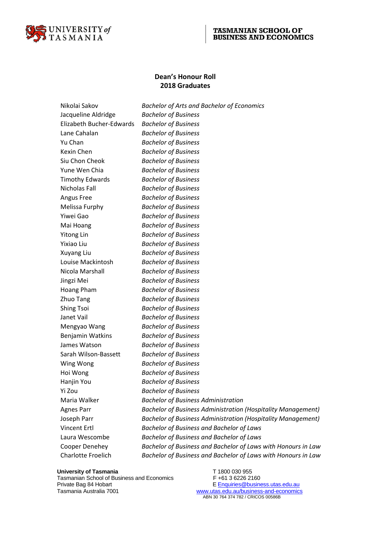

### **TASMANIAN SCHOOL OF BUSINESS AND ECONOMICS**

# **Dean's Honour Roll 2018 Graduates**

| Nikolai Sakov            | Bachelor of Arts and Bachelor of Economics                          |
|--------------------------|---------------------------------------------------------------------|
| Jacqueline Aldridge      | <b>Bachelor of Business</b>                                         |
| Elizabeth Bucher-Edwards | <b>Bachelor of Business</b>                                         |
| Lane Cahalan             | <b>Bachelor of Business</b>                                         |
| Yu Chan                  | <b>Bachelor of Business</b>                                         |
| Kexin Chen               | <b>Bachelor of Business</b>                                         |
| Siu Chon Cheok           | <b>Bachelor of Business</b>                                         |
| Yune Wen Chia            | <b>Bachelor of Business</b>                                         |
| <b>Timothy Edwards</b>   | <b>Bachelor of Business</b>                                         |
| Nicholas Fall            | <b>Bachelor of Business</b>                                         |
| Angus Free               | <b>Bachelor of Business</b>                                         |
| Melissa Furphy           | <b>Bachelor of Business</b>                                         |
| Yiwei Gao                | <b>Bachelor of Business</b>                                         |
| Mai Hoang                | <b>Bachelor of Business</b>                                         |
| <b>Yitong Lin</b>        | <b>Bachelor of Business</b>                                         |
| Yixiao Liu               | <b>Bachelor of Business</b>                                         |
| Xuyang Liu               | <b>Bachelor of Business</b>                                         |
| Louise Mackintosh        | <b>Bachelor of Business</b>                                         |
| Nicola Marshall          | <b>Bachelor of Business</b>                                         |
| Jingzi Mei               | <b>Bachelor of Business</b>                                         |
| <b>Hoang Pham</b>        | <b>Bachelor of Business</b>                                         |
| Zhuo Tang                | <b>Bachelor of Business</b>                                         |
| <b>Shing Tsoi</b>        | <b>Bachelor of Business</b>                                         |
| Janet Vail               | <b>Bachelor of Business</b>                                         |
| Mengyao Wang             | <b>Bachelor of Business</b>                                         |
| Benjamin Watkins         | <b>Bachelor of Business</b>                                         |
| James Watson             | <b>Bachelor of Business</b>                                         |
| Sarah Wilson-Bassett     | <b>Bachelor of Business</b>                                         |
| Wing Wong                | <b>Bachelor of Business</b>                                         |
| Hoi Wong                 | <b>Bachelor of Business</b>                                         |
| Hanjin You               | <b>Bachelor of Business</b>                                         |
| Yi Zou                   | <b>Bachelor of Business</b>                                         |
| Maria Walker             | <b>Bachelor of Business Administration</b>                          |
| <b>Agnes Parr</b>        | <b>Bachelor of Business Administration (Hospitality Management)</b> |
| Joseph Parr              | <b>Bachelor of Business Administration (Hospitality Management)</b> |
| <b>Vincent Ertl</b>      | Bachelor of Business and Bachelor of Laws                           |
| Laura Wescombe           | Bachelor of Business and Bachelor of Laws                           |
| Cooper Denehey           | Bachelor of Business and Bachelor of Laws with Honours in Law       |
| Charlotte Froelich       | Bachelor of Business and Bachelor of Laws with Honours in Law       |
|                          |                                                                     |

**University of Tasmania**<br>
Tasmanian School of Business and Economics
F +61 3 6226 2160 Tasmanian School of Business and Economics<br>Private Bag 84 Hobart Private Bag 84 Hobart [E Enquiries@business.utas.edu.au](mailto:AcademicSupport.TSBE@utas.edu.au)

Www.utas.edu.au/business-and-economics<br>ABN 30 764 374 782 / CRICOS 00586B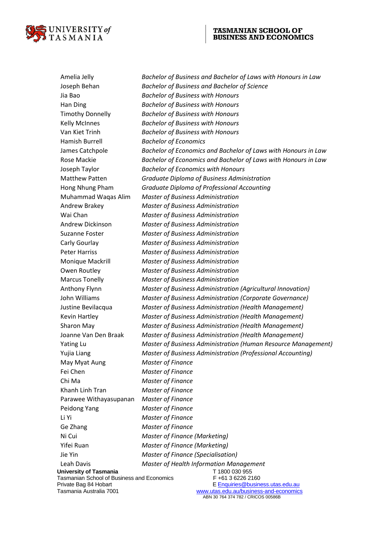

### **TASMANIAN SCHOOL OF BUSINESS AND ECONOMICS**

University of Tasmania **T** 1800 030 955 Tasmanian School of Business and Economics F +61 3 6226 2160 Private Bag 84 Hobart [E Enquiries@business.utas.edu.au](mailto:AcademicSupport.TSBE@utas.edu.au) Amelia Jelly *Bachelor of Business and Bachelor of Laws with Honours in Law* Joseph Behan *Bachelor of Business and Bachelor of Science* Jia Bao *Bachelor of Business with Honours* Han Ding *Bachelor of Business with Honours* Timothy Donnelly *Bachelor of Business with Honours* Kelly McInnes *Bachelor of Business with Honours* Van Kiet Trinh *Bachelor of Business with Honours* Hamish Burrell *Bachelor of Economics* James Catchpole *Bachelor of Economics and Bachelor of Laws with Honours in Law* Rose Mackie *Bachelor of Economics and Bachelor of Laws with Honours in Law* Joseph Taylor *Bachelor of Economics with Honours* Matthew Patten *Graduate Diploma of Business Administration* Hong Nhung Pham *Graduate Diploma of Professional Accounting* Muhammad Waqas Alim *Master of Business Administration* Andrew Brakey *Master of Business Administration* Wai Chan *Master of Business Administration* Andrew Dickinson *Master of Business Administration* Suzanne Foster *Master of Business Administration* Carly Gourlay *Master of Business Administration* Peter Harriss *Master of Business Administration* Monique Mackrill *Master of Business Administration* Owen Routley *Master of Business Administration* Marcus Tonelly *Master of Business Administration* Anthony Flynn *Master of Business Administration (Agricultural Innovation)* John Williams *Master of Business Administration (Corporate Governance)* Justine Bevilacqua *Master of Business Administration (Health Management)* Kevin Hartley *Master of Business Administration (Health Management)* Sharon May *Master of Business Administration (Health Management)* Joanne Van Den Braak *Master of Business Administration (Health Management)* Yating Lu *Master of Business Administration (Human Resource Management)* Yujia Liang *Master of Business Administration (Professional Accounting)* May Myat Aung *Master of Finance* Fei Chen *Master of Finance* Chi Ma *Master of Finance* Khanh Linh Tran *Master of Finance* Parawee Withayasupanan *Master of Finance* Peidong Yang *Master of Finance* Li Yi *Master of Finance* Ge Zhang *Master of Finance* Ni Cui *Master of Finance (Marketing)* Yifei Ruan *Master of Finance (Marketing)* Jie Yin *Master of Finance (Specialisation)* Leah Davis *Master of Health Information Management*

WWW.utas.edu.au/business-and-economics<br>ABN 30 764 374 782 / CRICOS 00586B